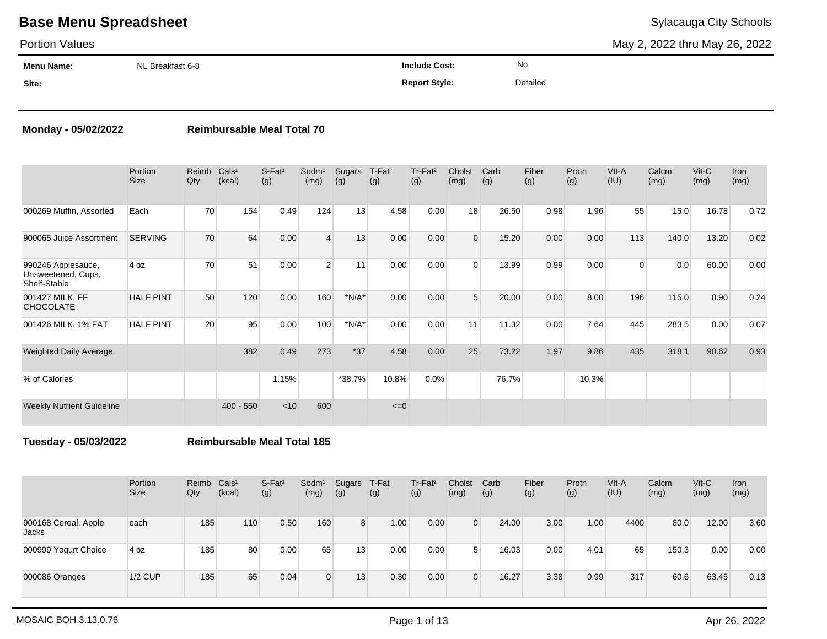### Portion Values

May 2, 2022 thru May 26, 2022

| <b>Menu Name:</b> | NL Breakfast 6-8 | <b>Include Cost:</b> | No       |
|-------------------|------------------|----------------------|----------|
| Site:             |                  | <b>Report Style:</b> | Detailed |

### **Monday - 05/02/2022 Reimbursable Meal Total 70**

|                                                          | Portion<br><b>Size</b> | Reimb<br>Qty | Cals <sup>1</sup><br>(kcal) | $S-Fat1$<br>(g) | Sodm <sup>1</sup><br>(mg) | Sugars<br>(g) | T-Fat<br>(g) | Tr-Fat <sup>2</sup><br>(g) | Cholst<br>(mg) | Carb<br>(g) | Fiber<br>(g) | Protn<br>(g) | VIt-A<br>(IU) | Calcm<br>(mg) | $V$ it-C<br>(mg) | <b>Iron</b><br>(mg) |
|----------------------------------------------------------|------------------------|--------------|-----------------------------|-----------------|---------------------------|---------------|--------------|----------------------------|----------------|-------------|--------------|--------------|---------------|---------------|------------------|---------------------|
| 000269 Muffin, Assorted                                  | Each                   | 70           | 154                         | 0.49            | 124                       | 13            | 4.58         | 0.00                       | 18             | 26.50       | 0.98         | 1.96         | 55            | 15.0          | 16.78            | 0.72                |
| 900065 Juice Assortment                                  | <b>SERVING</b>         | 70           | 64                          | 0.00            | $\boldsymbol{\Delta}$     | 13            | 0.00         | 0.00                       | $\Omega$       | 15.20       | 0.00         | 0.00         | 113           | 140.0         | 13.20            | 0.02                |
| 990246 Applesauce,<br>Unsweetened, Cups,<br>Shelf-Stable | 4 oz                   | 70           | 51                          | 0.00            | $\overline{2}$            | 11            | 0.00         | 0.00                       | $\Omega$       | 13.99       | 0.99         | 0.00         | $\Omega$      | 0.0           | 60.00            | 0.00                |
| 001427 MILK, FF<br><b>CHOCOLATE</b>                      | <b>HALF PINT</b>       | 50           | 120                         | 0.00            | 160                       | $*N/A*$       | 0.00         | 0.00                       | 5              | 20.00       | 0.00         | 8.00         | 196           | 115.0         | 0.90             | 0.24                |
| 001426 MILK, 1% FAT                                      | <b>HALF PINT</b>       | 20           | 95                          | 0.00            | 100                       | $*N/A*$       | 0.00         | 0.00                       | 11             | 11.32       | 0.00         | 7.64         | 445           | 283.5         | 0.00             | 0.07                |
| <b>Weighted Daily Average</b>                            |                        |              | 382                         | 0.49            | 273                       | $*37$         | 4.58         | 0.00                       | 25             | 73.22       | 1.97         | 9.86         | 435           | 318.1         | 90.62            | 0.93                |
| % of Calories                                            |                        |              |                             | 1.15%           |                           | *38.7%        | 10.8%        | 0.0%                       |                | 76.7%       |              | 10.3%        |               |               |                  |                     |
| <b>Weekly Nutrient Guideline</b>                         |                        |              | $400 - 550$                 | < 10            | 600                       |               | $\leq=0$     |                            |                |             |              |              |               |               |                  |                     |

**Tuesday - 05/03/2022 Reimbursable Meal Total 185**

|                               | Portion<br><b>Size</b> | Reimb<br>Qty | Cals <sup>1</sup><br>(kcal) | $S-Fat1$<br>(g) | Sodm <sup>1</sup><br>(mg) | Sugars<br>(g) | T-Fat<br>(g) | Tr-Fat <sup>2</sup><br>(g) | Cholst<br>(mg) | Carb<br>(g) | Fiber<br>(g) | Protn<br>(g) | VIt-A<br>(IU) | Calcm<br>(mg) | $V$ it-C<br>(mg) | <b>Iron</b><br>(mg) |
|-------------------------------|------------------------|--------------|-----------------------------|-----------------|---------------------------|---------------|--------------|----------------------------|----------------|-------------|--------------|--------------|---------------|---------------|------------------|---------------------|
| 900168 Cereal, Apple<br>Jacks | each                   | 185          | 110                         | 0.50            | 160                       | 8             | 1.00         | 0.00                       | $\Omega$       | 24.00       | 3.00         | 1.00         | 4400          | 80.0          | 12.00            | 3.60                |
| 000999 Yogurt Choice          | 4 oz                   | 185          | 80                          | 0.00            | 65                        | 13            | 0.00         | 0.00                       | 5              | 16.03       | 0.00         | 4.01         | 65            | 150.3         | 0.00             | 0.00                |
| 000086 Oranges                | $1/2$ CUP              | 185          | 65                          | 0.04            | $\Omega$                  | 13            | 0.30         | 0.00                       | $\Omega$       | 16.27       | 3.38         | 0.99         | 317           | 60.6          | 63.45            | 0.13                |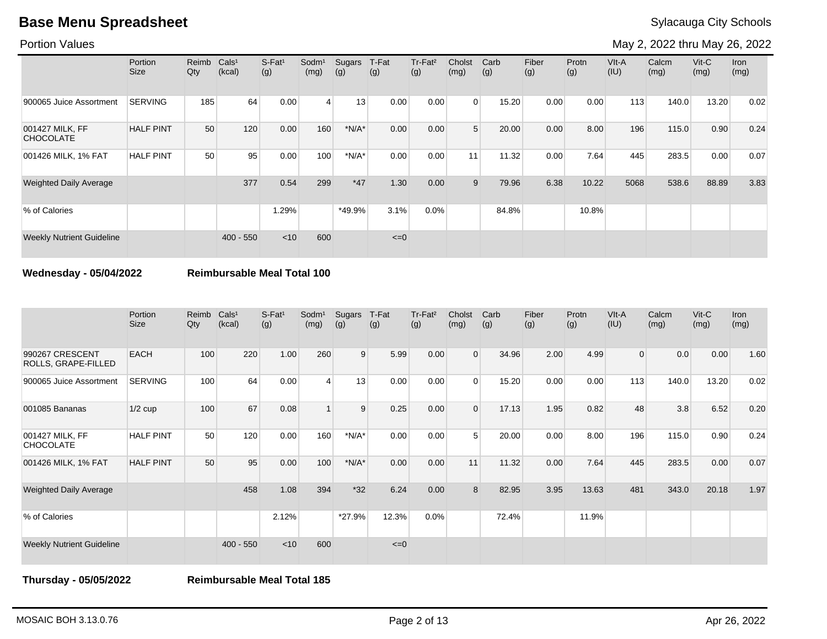Portion Values

May 2, 2022 thru May 26, 2022

|                                     | Portion<br><b>Size</b> | Reimb<br>Qty | Cals <sup>1</sup><br>(kcal) | S-Fat <sup>1</sup><br>(g) | Sodm <sup>1</sup><br>(mg) | Sugars<br>(g) | T-Fat<br>(g) | Tr-Fat <sup>2</sup><br>(g) | Cholst<br>(mg)  | Carb<br>(g) | Fiber<br>(g) | Protn<br>(g) | VIt-A<br>(IU) | Calcm<br>(mg) | $V$ it-C<br>(mg) | Iron<br>(mg) |
|-------------------------------------|------------------------|--------------|-----------------------------|---------------------------|---------------------------|---------------|--------------|----------------------------|-----------------|-------------|--------------|--------------|---------------|---------------|------------------|--------------|
| 900065 Juice Assortment             | <b>SERVING</b>         | 185          | 64                          | 0.00                      | $\vert$ 4                 | 13            | 0.00         | 0.00                       | $\Omega$        | 15.20       | 0.00         | 0.00         | 113           | 140.0         | 13.20            | 0.02         |
| 001427 MILK, FF<br><b>CHOCOLATE</b> | <b>HALF PINT</b>       | 50           | 120                         | 0.00                      | 160                       | $*N/A*$       | 0.00         | 0.00                       | 5               | 20.00       | 0.00         | 8.00         | 196           | 115.0         | 0.90             | 0.24         |
| 001426 MILK, 1% FAT                 | <b>HALF PINT</b>       | 50           | 95                          | 0.00                      | 100                       | $*N/A*$       | 0.00         | 0.00                       | 11 <sub>1</sub> | 11.32       | 0.00         | 7.64         | 445           | 283.5         | 0.00             | 0.07         |
| <b>Weighted Daily Average</b>       |                        |              | 377                         | 0.54                      | 299                       | $*47$         | 1.30         | 0.00                       | 9               | 79.96       | 6.38         | 10.22        | 5068          | 538.6         | 88.89            | 3.83         |
| % of Calories                       |                        |              |                             | 1.29%                     |                           | *49.9%        | 3.1%         | 0.0%                       |                 | 84.8%       |              | 10.8%        |               |               |                  |              |
| <b>Weekly Nutrient Guideline</b>    |                        |              | $400 - 550$                 | $<$ 10                    | 600                       |               | $\leq=0$     |                            |                 |             |              |              |               |               |                  |              |

### **Wednesday - 05/04/2022 Reimbursable Meal Total 100**

|                                        | Portion<br><b>Size</b> | Reimb<br>Qty | Cals <sup>1</sup><br>(kcal) | $S-Fat1$<br>(g) | Sodm <sup>1</sup><br>(mg) | Sugars<br>(g) | T-Fat<br>(g) | Tr-Fat <sup>2</sup><br>(g) | Cholst<br>(mg) | Carb<br>(g) | Fiber<br>(g) | Protn<br>(g) | VIt-A<br>(IU)  | Calcm<br>(mg) | $V$ it-C<br>(mg) | Iron<br>(mg) |
|----------------------------------------|------------------------|--------------|-----------------------------|-----------------|---------------------------|---------------|--------------|----------------------------|----------------|-------------|--------------|--------------|----------------|---------------|------------------|--------------|
| 990267 CRESCENT<br>ROLLS, GRAPE-FILLED | <b>EACH</b>            | 100          | 220                         | 1.00            | 260                       | 9             | 5.99         | 0.00                       | $\Omega$       | 34.96       | 2.00         | 4.99         | $\overline{0}$ | 0.0           | 0.00             | 1.60         |
| 900065 Juice Assortment                | <b>SERVING</b>         | 100          | 64                          | 0.00            | $\boldsymbol{\Delta}$     | 13            | 0.00         | 0.00                       | $\Omega$       | 15.20       | 0.00         | 0.00         | 113            | 140.0         | 13.20            | 0.02         |
| 001085 Bananas                         | $1/2$ cup              | 100          | 67                          | 0.08            |                           | 9             | 0.25         | 0.00                       | $\Omega$       | 17.13       | 1.95         | 0.82         | 48             | 3.8           | 6.52             | 0.20         |
| 001427 MILK, FF<br><b>CHOCOLATE</b>    | <b>HALF PINT</b>       | 50           | 120                         | 0.00            | 160                       | $*N/A*$       | 0.00         | 0.00                       | 5              | 20.00       | 0.00         | 8.00         | 196            | 115.0         | 0.90             | 0.24         |
| 001426 MILK, 1% FAT                    | <b>HALF PINT</b>       | 50           | 95                          | 0.00            | 100                       | $*N/A*$       | 0.00         | 0.00                       | 11             | 11.32       | 0.00         | 7.64         | 445            | 283.5         | 0.00             | 0.07         |
| Weighted Daily Average                 |                        |              | 458                         | 1.08            | 394                       | $*32$         | 6.24         | 0.00                       | 8              | 82.95       | 3.95         | 13.63        | 481            | 343.0         | 20.18            | 1.97         |
| % of Calories                          |                        |              |                             | 2.12%           |                           | *27.9%        | 12.3%        | 0.0%                       |                | 72.4%       |              | 11.9%        |                |               |                  |              |
| <b>Weekly Nutrient Guideline</b>       |                        |              | $400 - 550$                 | $<$ 10          | 600                       |               | $\leq=0$     |                            |                |             |              |              |                |               |                  |              |

**Thursday - 05/05/2022 Reimbursable Meal Total 185**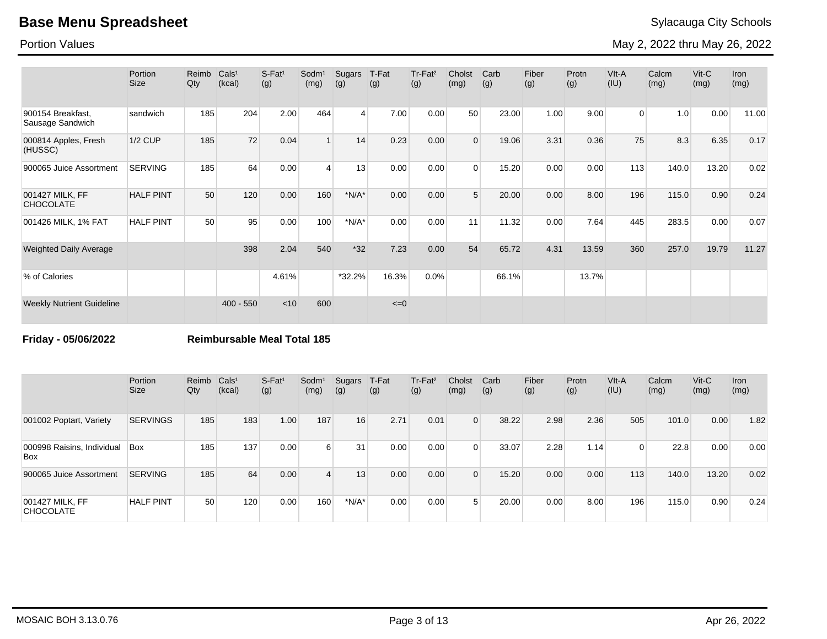Portion Values

May 2, 2022 thru May 26, 2022

|                                       | Portion<br>Size  | Reimb<br>Qty | Cals <sup>1</sup><br>(kcal) | $S$ -Fat <sup>1</sup><br>(g) | Sodm <sup>1</sup><br>(mg) | Sugars<br>(g)  | T-Fat<br>(g) | Tr-Fat <sup>2</sup><br>(g) | Cholst<br>(mg) | Carb<br>(g) | Fiber<br>(g) | Protn<br>(g) | VIt-A<br>(IU)  | Calcm<br>(mg) | $V$ it-C<br>(mg) | <b>Iron</b><br>(mg) |
|---------------------------------------|------------------|--------------|-----------------------------|------------------------------|---------------------------|----------------|--------------|----------------------------|----------------|-------------|--------------|--------------|----------------|---------------|------------------|---------------------|
| 900154 Breakfast,<br>Sausage Sandwich | sandwich         | 185          | 204                         | 2.00                         | 464                       | $\overline{4}$ | 7.00         | 0.00                       | 50             | 23.00       | 1.00         | 9.00         | $\overline{0}$ | 1.0           | 0.00             | 11.00               |
| 000814 Apples, Fresh<br>(HUSSC)       | <b>1/2 CUP</b>   | 185          | 72                          | 0.04                         |                           | 14             | 0.23         | 0.00                       | $\Omega$       | 19.06       | 3.31         | 0.36         | 75             | 8.3           | 6.35             | 0.17                |
| 900065 Juice Assortment               | <b>SERVING</b>   | 185          | 64                          | 0.00                         | $\overline{4}$            | 13             | 0.00         | 0.00                       | $\Omega$       | 15.20       | 0.00         | 0.00         | 113            | 140.0         | 13.20            | 0.02                |
| 001427 MILK, FF<br><b>CHOCOLATE</b>   | <b>HALF PINT</b> | 50           | 120                         | 0.00                         | 160                       | $*N/A*$        | 0.00         | 0.00                       | 5              | 20.00       | 0.00         | 8.00         | 196            | 115.0         | 0.90             | 0.24                |
| 001426 MILK, 1% FAT                   | <b>HALF PINT</b> | 50           | 95                          | 0.00                         | 100                       | $*N/A*$        | 0.00         | 0.00                       | 11             | 11.32       | 0.00         | 7.64         | 445            | 283.5         | 0.00             | 0.07                |
| <b>Weighted Daily Average</b>         |                  |              | 398                         | 2.04                         | 540                       | $*32$          | 7.23         | 0.00                       | 54             | 65.72       | 4.31         | 13.59        | 360            | 257.0         | 19.79            | 11.27               |
| % of Calories                         |                  |              |                             | 4.61%                        |                           | $*32.2%$       | 16.3%        | 0.0%                       |                | 66.1%       |              | 13.7%        |                |               |                  |                     |
| <b>Weekly Nutrient Guideline</b>      |                  |              | $400 - 550$                 | < 10                         | 600                       |                | $\leq=0$     |                            |                |             |              |              |                |               |                  |                     |

**Friday - 05/06/2022 Reimbursable Meal Total 185**

|                                     | Portion<br><b>Size</b> | Reimb Cals <sup>1</sup><br>Qty | (kcal) | $S$ -Fat <sup>1</sup><br>(g) | Sodm <sup>1</sup><br>(mg) | Sugars<br>(g) | T-Fat<br>(g) | Tr-Fat <sup>2</sup><br>(g) | Cholst<br>(mg) | Carb<br>(g) | Fiber<br>(g) | Protn<br>(g) | VIt-A<br>(IU) | Calcm<br>(mg) | $V$ it-C<br>(mg) | <b>Iron</b><br>(mg) |
|-------------------------------------|------------------------|--------------------------------|--------|------------------------------|---------------------------|---------------|--------------|----------------------------|----------------|-------------|--------------|--------------|---------------|---------------|------------------|---------------------|
| 001002 Poptart, Variety             | <b>SERVINGS</b>        | 185                            | 183    | 1.00                         | 187                       | 16            | 2.71         | 0.01                       | $\Omega$       | 38.22       | 2.98         | 2.36         | 505           | 101.0         | 0.00             | 1.82                |
| 000998 Raisins, Individual<br>Box   | Box                    | 185                            | 137    | 0.00                         | 6 <sup>1</sup>            | 31            | 0.00         | 0.00                       | $\Omega$       | 33.07       | 2.28         | 1.14         | $\Omega$      | 22.8          | 0.00             | 0.00                |
| 900065 Juice Assortment             | <b>SERVING</b>         | 185                            | 64     | 0.00                         | $\overline{4}$            | 13            | 0.00         | 0.00                       | $\Omega$       | 15.20       | 0.00         | 0.00         | 113           | 140.0         | 13.20            | 0.02                |
| 001427 MILK, FF<br><b>CHOCOLATE</b> | <b>HALF PINT</b>       | 50                             | 120    | 0.00                         | 160                       | $*N/A*$       | 0.00         | 0.00                       |                | 20.00       | 0.00         | 8.00         | 196           | 115.0         | 0.90             | 0.24                |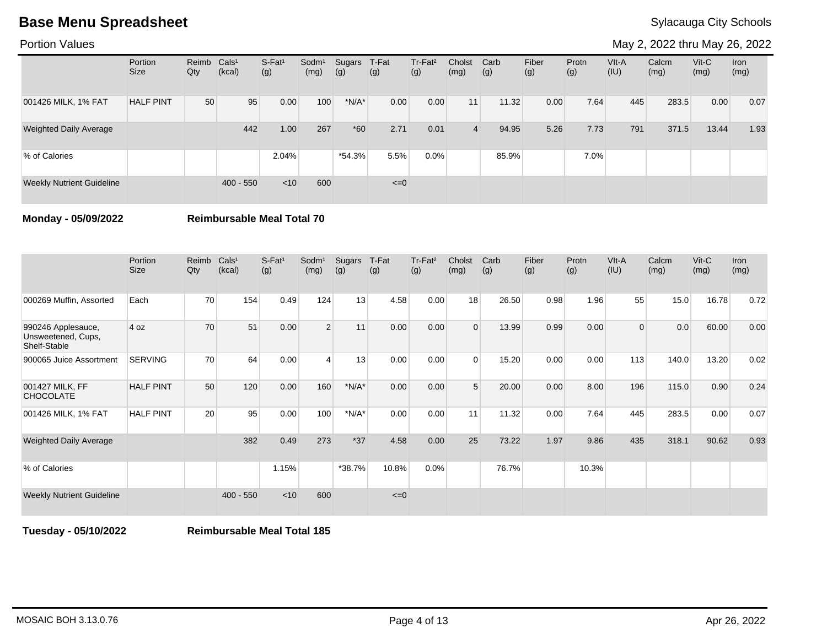Portion Values

May 2, 2022 thru May 26, 2022

|                                  | Portion<br><b>Size</b> | Reimb Cals <sup>1</sup><br>Qty | (kcal)      | $S-Fat1$<br>(g) | Sodm <sup>1</sup><br>(mg) | Sugars<br>(g) | T-Fat<br>(g) | Tr-Fat <sup>2</sup><br>(g) | Cholst<br>(mg) | Carb<br>(g) | Fiber<br>(g) | Protn<br>(g) | $V$ lt-A<br>(IU) | Calcm<br>(mg) | $V$ it-C<br>(mg) | Iron<br>(mg) |
|----------------------------------|------------------------|--------------------------------|-------------|-----------------|---------------------------|---------------|--------------|----------------------------|----------------|-------------|--------------|--------------|------------------|---------------|------------------|--------------|
| 001426 MILK, 1% FAT              | <b>HALF PINT</b>       | 50                             | 95          | 0.00            | 100                       | $*N/A*$       | 0.00         | 0.00                       | 11             | 11.32       | 0.00         | 7.64         | 445              | 283.5         | 0.00             | 0.07         |
| <b>Weighted Daily Average</b>    |                        |                                | 442         | 1.00            | 267                       | $*60$         | 2.71         | 0.01                       | $\overline{4}$ | 94.95       | 5.26         | 7.73         | 791              | 371.5         | 13.44            | 1.93         |
| % of Calories                    |                        |                                |             | 2.04%           |                           | $*54.3%$      | 5.5%         | 0.0%                       |                | 85.9%       |              | $7.0\%$      |                  |               |                  |              |
| <b>Weekly Nutrient Guideline</b> |                        |                                | $400 - 550$ | < 10            | 600                       |               | $\leq=0$     |                            |                |             |              |              |                  |               |                  |              |

**Monday - 05/09/2022 Reimbursable Meal Total 70**

|                                                          | Portion<br><b>Size</b> | Reimb<br>Qty    | Cals <sup>1</sup><br>(kcal) | S-Fat <sup>1</sup><br>(g) | Sodm <sup>1</sup><br>(mg) | Sugars<br>(g) | T-Fat<br>(g) | Tr-Fat <sup>2</sup><br>(g) | Cholst<br>(mg) | Carb<br>(g) | Fiber<br>(g) | Protn<br>(g) | VIt-A<br>(IU) | Calcm<br>(mg) | Vit-C<br>(mg) | <b>Iron</b><br>(mg) |
|----------------------------------------------------------|------------------------|-----------------|-----------------------------|---------------------------|---------------------------|---------------|--------------|----------------------------|----------------|-------------|--------------|--------------|---------------|---------------|---------------|---------------------|
| 000269 Muffin, Assorted                                  | Each                   | 70              | 154                         | 0.49                      | 124                       | 13            | 4.58         | 0.00                       | 18             | 26.50       | 0.98         | 1.96         | 55            | 15.0          | 16.78         | 0.72                |
| 990246 Applesauce,<br>Unsweetened, Cups,<br>Shelf-Stable | 4 oz                   | 70              | 51                          | 0.00                      | 2                         | 11            | 0.00         | 0.00                       | $\Omega$       | 13.99       | 0.99         | 0.00         | 0             | 0.0           | 60.00         | 0.00                |
| 900065 Juice Assortment                                  | <b>SERVING</b>         | 70              | 64                          | 0.00                      | 4                         | 13            | 0.00         | 0.00                       | $\Omega$       | 15.20       | 0.00         | 0.00         | 113           | 140.0         | 13.20         | 0.02                |
| 001427 MILK, FF<br><b>CHOCOLATE</b>                      | <b>HALF PINT</b>       | 50              | 120                         | 0.00                      | 160                       | $*N/A*$       | 0.00         | 0.00                       | 5              | 20.00       | 0.00         | 8.00         | 196           | 115.0         | 0.90          | 0.24                |
| 001426 MILK, 1% FAT                                      | <b>HALF PINT</b>       | 20 <sup>1</sup> | 95                          | 0.00                      | 100                       | $*N/A*$       | 0.00         | 0.00                       | 11             | 11.32       | 0.00         | 7.64         | 445           | 283.5         | 0.00          | 0.07                |
| <b>Weighted Daily Average</b>                            |                        |                 | 382                         | 0.49                      | 273                       | $*37$         | 4.58         | 0.00                       | 25             | 73.22       | 1.97         | 9.86         | 435           | 318.1         | 90.62         | 0.93                |
| % of Calories                                            |                        |                 |                             | 1.15%                     |                           | *38.7%        | 10.8%        | 0.0%                       |                | 76.7%       |              | 10.3%        |               |               |               |                     |
| <b>Weekly Nutrient Guideline</b>                         |                        |                 | $400 - 550$                 | $<$ 10                    | 600                       |               | $\leq=0$     |                            |                |             |              |              |               |               |               |                     |

**Tuesday - 05/10/2022 Reimbursable Meal Total 185**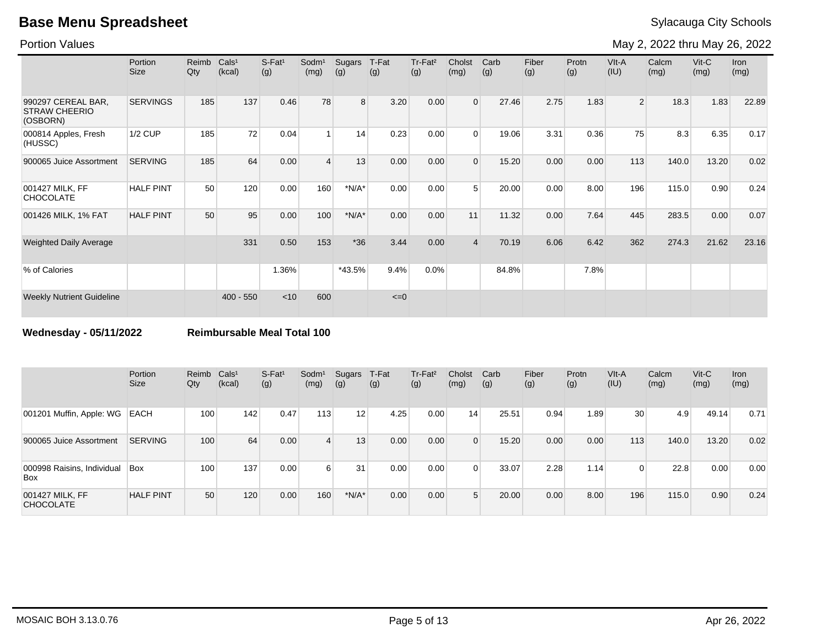Portion Values

May 2, 2022 thru May 26, 2022

|                                                        | Portion<br><b>Size</b> | Reimb<br>$Q$ ty | Cals <sup>1</sup><br>(kcal) | $S-Fat1$<br>(g) | Sodm <sup>1</sup><br>(mg) | Sugars<br>(g) | T-Fat<br>(g) | Tr-Fat <sup>2</sup><br>(g) | Cholst<br>(mg) | Carb<br>(g) | Fiber<br>(g) | Protn<br>(g) | VIt-A<br>(IU)  | Calcm<br>(mg) | $V$ it-C<br>(mg) | <b>Iron</b><br>(mg) |
|--------------------------------------------------------|------------------------|-----------------|-----------------------------|-----------------|---------------------------|---------------|--------------|----------------------------|----------------|-------------|--------------|--------------|----------------|---------------|------------------|---------------------|
| 990297 CEREAL BAR,<br><b>STRAW CHEERIO</b><br>(OSBORN) | <b>SERVINGS</b>        | 185             | 137                         | 0.46            | 78                        | 8             | 3.20         | 0.00                       | $\overline{0}$ | 27.46       | 2.75         | 1.83         | 2 <sup>1</sup> | 18.3          | 1.83             | 22.89               |
| 000814 Apples, Fresh<br>(HUSSC)                        | <b>1/2 CUP</b>         | 185             | 72                          | 0.04            | $\overline{1}$            | 14            | 0.23         | 0.00                       | $\Omega$       | 19.06       | 3.31         | 0.36         | 75             | 8.3           | 6.35             | 0.17                |
| 900065 Juice Assortment                                | <b>SERVING</b>         | 185             | 64                          | 0.00            | $\overline{4}$            | 13            | 0.00         | 0.00                       | $\Omega$       | 15.20       | 0.00         | 0.00         | 113            | 140.0         | 13.20            | 0.02                |
| 001427 MILK, FF<br><b>CHOCOLATE</b>                    | <b>HALF PINT</b>       | 50              | 120                         | 0.00            | 160                       | $*N/A*$       | 0.00         | 0.00                       | 5              | 20.00       | 0.00         | 8.00         | 196            | 115.0         | 0.90             | 0.24                |
| 001426 MILK, 1% FAT                                    | <b>HALF PINT</b>       | 50              | 95                          | 0.00            | 100                       | $*N/A*$       | 0.00         | 0.00                       | 11             | 11.32       | 0.00         | 7.64         | 445            | 283.5         | 0.00             | 0.07                |
| <b>Weighted Daily Average</b>                          |                        |                 | 331                         | 0.50            | 153                       | $*36$         | 3.44         | 0.00                       | $\overline{4}$ | 70.19       | 6.06         | 6.42         | 362            | 274.3         | 21.62            | 23.16               |
| % of Calories                                          |                        |                 |                             | 1.36%           |                           | $*43.5%$      | 9.4%         | 0.0%                       |                | 84.8%       |              | 7.8%         |                |               |                  |                     |
| <b>Weekly Nutrient Guideline</b>                       |                        |                 | $400 - 550$                 | < 10            | 600                       |               | $\leq=0$     |                            |                |             |              |              |                |               |                  |                     |

**Wednesday - 05/11/2022 Reimbursable Meal Total 100**

|                                     | Portion<br>Size  | Reimb<br>Qty | Cals <sup>1</sup><br>(kcal) | $S$ -Fat <sup>1</sup><br>(g) | Sodm <sup>1</sup><br>(mg) | Sugars<br>(g) | T-Fat<br>(g) | Tr-Fat <sup>2</sup><br>(g) | Cholst<br>(mg)  | Carb<br>(g) | Fiber<br>(g) | Protn<br>(g) | VIt-A<br>(IU) | Calcm<br>(mg) | $V$ it-C<br>(mg) | <b>Iron</b><br>(mg) |
|-------------------------------------|------------------|--------------|-----------------------------|------------------------------|---------------------------|---------------|--------------|----------------------------|-----------------|-------------|--------------|--------------|---------------|---------------|------------------|---------------------|
| 001201 Muffin, Apple: WG            | <b>EACH</b>      | 100          | 142                         | 0.47                         | 113                       | 12            | 4.25         | 0.00                       | 14 <sub>1</sub> | 25.51       | 0.94         | 1.89         | 30            | 4.9           | 49.14            | 0.71                |
| 900065 Juice Assortment             | <b>SERVING</b>   | 100          | 64                          | 0.00                         | $\overline{4}$            | 13            | 0.00         | 0.00                       | $\Omega$        | 15.20       | 0.00         | 0.00         | 113           | 140.0         | 13.20            | 0.02                |
| 000998 Raisins, Individual<br>Box   | <b>Box</b>       | 100          | 137 <sub>1</sub>            | 0.00                         | $6 \mid$                  | 31            | 0.00         | 0.00                       |                 | 33.07       | 2.28         | 1.14         | 0             | 22.8          | 0.00             | 0.00                |
| 001427 MILK, FF<br><b>CHOCOLATE</b> | <b>HALF PINT</b> | 50           | 120                         | 0.00                         | 160                       | $*N/A*$       | 0.00         | 0.00                       | 5               | 20.00       | 0.00         | 8.00         | 196           | 115.0         | 0.90             | 0.24                |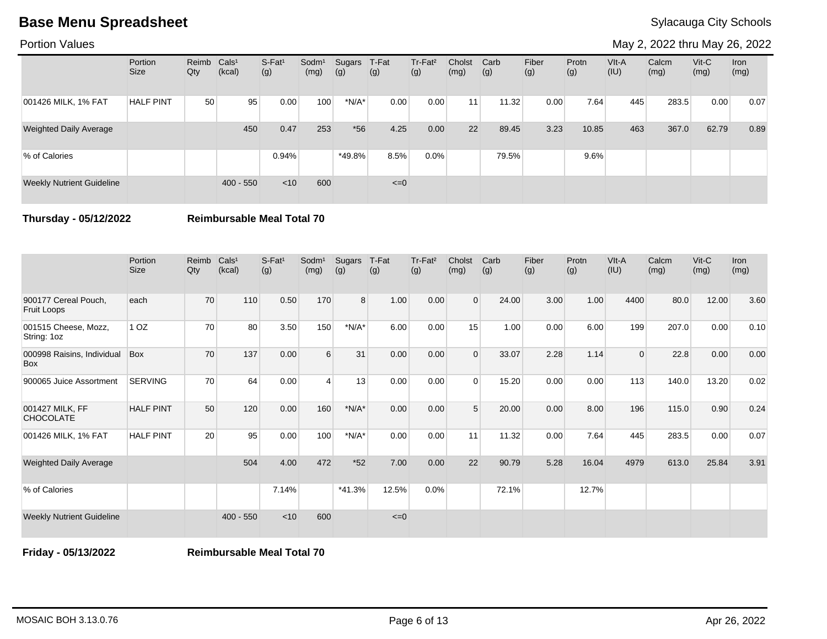Portion Values

May 2, 2022 thru May 26, 2022

|                                  | Portion<br><b>Size</b> | Reimb Cals <sup>1</sup><br>Qty | (kcal)      | $S-Fat1$<br>(g) | Sodm <sup>1</sup><br>(mg) | Sugars<br>(g) | T-Fat<br>(g) | Tr-Fat <sup>2</sup><br>(g) | Cholst<br>(mg)  | Carb<br>(g) | Fiber<br>(g) | Protn<br>(g) | $V$ lt-A<br>(IU) | Calcm<br>(mg) | $V$ it-C<br>(mg) | Iron<br>(mg) |
|----------------------------------|------------------------|--------------------------------|-------------|-----------------|---------------------------|---------------|--------------|----------------------------|-----------------|-------------|--------------|--------------|------------------|---------------|------------------|--------------|
| 001426 MILK, 1% FAT              | <b>HALF PINT</b>       | 50 <sup>°</sup>                | 95          | 0.00            | 100                       | $*N/A*$       | 0.00         | 0.00                       | 11 <sub>1</sub> | 11.32       | 0.00         | 7.64         | 445              | 283.5         | 0.00             | 0.07         |
| <b>Weighted Daily Average</b>    |                        |                                | 450         | 0.47            | 253                       | $*56$         | 4.25         | 0.00                       | 22              | 89.45       | 3.23         | 10.85        | 463              | 367.0         | 62.79            | 0.89         |
| % of Calories                    |                        |                                |             | 0.94%           |                           | $*49.8%$      | 8.5%         | 0.0%                       |                 | 79.5%       |              | 9.6%         |                  |               |                  |              |
| <b>Weekly Nutrient Guideline</b> |                        |                                | $400 - 550$ | < 10            | 600                       |               | $\leq=0$     |                            |                 |             |              |              |                  |               |                  |              |

**Thursday - 05/12/2022 Reimbursable Meal Total 70**

|                                     | Portion<br><b>Size</b> | Reimb<br>Qty | Cals <sup>1</sup><br>(kcal) | $S-Fat1$<br>(g) | Sodm <sup>1</sup><br>(mg) | Sugars<br>(g)  | T-Fat<br>(g) | Tr-Fat <sup>2</sup><br>(g) | Cholst<br>(mg) | Carb<br>(g) | Fiber<br>(g) | Protn<br>(g) | VIt-A<br>(IU) | Calcm<br>(mg) | $V$ it-C<br>(mg) | <b>Iron</b><br>(mg) |
|-------------------------------------|------------------------|--------------|-----------------------------|-----------------|---------------------------|----------------|--------------|----------------------------|----------------|-------------|--------------|--------------|---------------|---------------|------------------|---------------------|
| 900177 Cereal Pouch,<br>Fruit Loops | each                   | 70           | 110                         | 0.50            | 170                       | 8 <sup>1</sup> | 1.00         | 0.00                       | $\mathbf 0$    | 24.00       | 3.00         | 1.00         | 4400          | 80.0          | 12.00            | 3.60                |
| 001515 Cheese, Mozz,<br>String: 1oz | 1 <sub>OZ</sub>        | 70           | 80                          | 3.50            | 150                       | $*N/A*$        | 6.00         | 0.00                       | 15             | 1.00        | 0.00         | 6.00         | 199           | 207.0         | 0.00             | 0.10                |
| 000998 Raisins, Individual<br>Box   | Box                    | 70           | 137                         | 0.00            | 6                         | 31             | 0.00         | 0.00                       | $\Omega$       | 33.07       | 2.28         | 1.14         | $\Omega$      | 22.8          | 0.00             | 0.00                |
| 900065 Juice Assortment             | <b>SERVING</b>         | 70           | 64                          | 0.00            | 4                         | 13             | 0.00         | 0.00                       | $\Omega$       | 15.20       | 0.00         | 0.00         | 113           | 140.0         | 13.20            | 0.02                |
| 001427 MILK, FF<br><b>CHOCOLATE</b> | <b>HALF PINT</b>       | 50           | 120                         | 0.00            | 160                       | $*N/A*$        | 0.00         | 0.00                       | 5              | 20.00       | 0.00         | 8.00         | 196           | 115.0         | 0.90             | 0.24                |
| 001426 MILK, 1% FAT                 | <b>HALF PINT</b>       | 20           | 95                          | 0.00            | 100                       | $*N/A*$        | 0.00         | 0.00                       | 11             | 11.32       | 0.00         | 7.64         | 445           | 283.5         | 0.00             | 0.07                |
| <b>Weighted Daily Average</b>       |                        |              | 504                         | 4.00            | 472                       | $*52$          | 7.00         | 0.00                       | 22             | 90.79       | 5.28         | 16.04        | 4979          | 613.0         | 25.84            | 3.91                |
| % of Calories                       |                        |              |                             | 7.14%           |                           | $*41.3%$       | 12.5%        | 0.0%                       |                | 72.1%       |              | 12.7%        |               |               |                  |                     |
| <b>Weekly Nutrient Guideline</b>    |                        |              | $400 - 550$                 | < 10            | 600                       |                | $\leq=0$     |                            |                |             |              |              |               |               |                  |                     |

**Friday - 05/13/2022 Reimbursable Meal Total 70**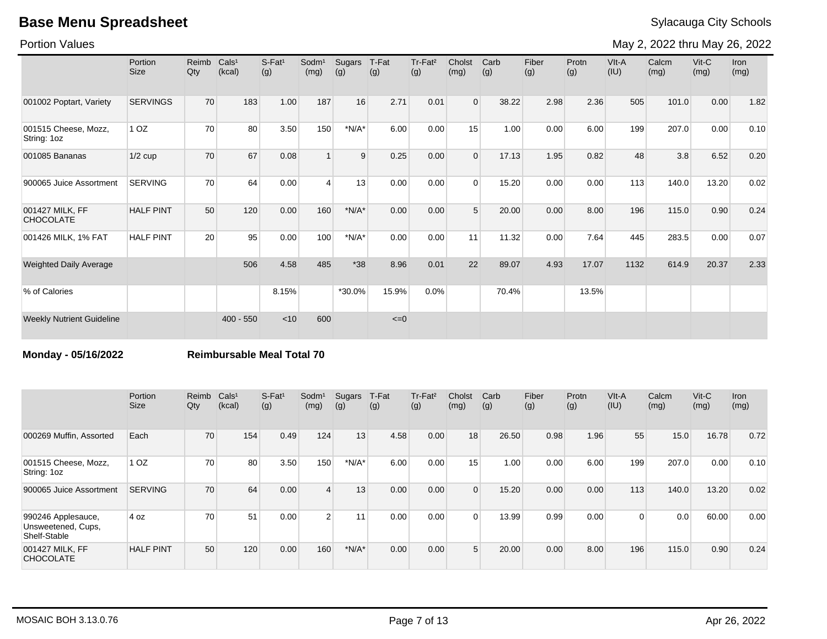Portion Values

May 2, 2022 thru May 26, 2022

|                                     | Portion<br><b>Size</b> | Reimb<br>Qty | Cals <sup>1</sup><br>(kcal) | S-Fat <sup>1</sup><br>(g) | Sodm <sup>1</sup><br>(mg) | Sugars<br>(g) | T-Fat<br>(g) | Tr-Fat <sup>2</sup><br>(g) | Cholst<br>(mg) | Carb<br>(g) | Fiber<br>(g) | Protn<br>(g) | VIt-A<br>(IU) | Calcm<br>(mg) | Vit-C<br>(mg) | Iron<br>(mg) |
|-------------------------------------|------------------------|--------------|-----------------------------|---------------------------|---------------------------|---------------|--------------|----------------------------|----------------|-------------|--------------|--------------|---------------|---------------|---------------|--------------|
| 001002 Poptart, Variety             | <b>SERVINGS</b>        | 70           | 183                         | 1.00                      | 187                       | 16            | 2.71         | 0.01                       | $\overline{0}$ | 38.22       | 2.98         | 2.36         | 505           | 101.0         | 0.00          | 1.82         |
| 001515 Cheese, Mozz,<br>String: 1oz | 1 <sub>OZ</sub>        | 70           | 80                          | 3.50                      | 150                       | $*N/A*$       | 6.00         | 0.00                       | 15             | 1.00        | 0.00         | 6.00         | 199           | 207.0         | 0.00          | 0.10         |
| 001085 Bananas                      | $1/2$ cup              | 70           | 67                          | 0.08                      |                           | 9             | 0.25         | 0.00                       | $\Omega$       | 17.13       | 1.95         | 0.82         | 48            | 3.8           | 6.52          | 0.20         |
| 900065 Juice Assortment             | <b>SERVING</b>         | 70           | 64                          | 0.00                      | $\overline{4}$            | 13            | 0.00         | 0.00                       | $\Omega$       | 15.20       | 0.00         | 0.00         | 113           | 140.0         | 13.20         | 0.02         |
| 001427 MILK, FF<br><b>CHOCOLATE</b> | <b>HALF PINT</b>       | 50           | 120                         | 0.00                      | 160                       | $*N/A*$       | 0.00         | 0.00                       | 5              | 20.00       | 0.00         | 8.00         | 196           | 115.0         | 0.90          | 0.24         |
| 001426 MILK, 1% FAT                 | <b>HALF PINT</b>       | 20           | 95                          | 0.00                      | 100                       | $*N/A*$       | 0.00         | 0.00                       | 11             | 11.32       | 0.00         | 7.64         | 445           | 283.5         | 0.00          | 0.07         |
| <b>Weighted Daily Average</b>       |                        |              | 506                         | 4.58                      | 485                       | $*38$         | 8.96         | 0.01                       | 22             | 89.07       | 4.93         | 17.07        | 1132          | 614.9         | 20.37         | 2.33         |
| % of Calories                       |                        |              |                             | 8.15%                     |                           | *30.0%        | 15.9%        | 0.0%                       |                | 70.4%       |              | 13.5%        |               |               |               |              |
| <b>Weekly Nutrient Guideline</b>    |                        |              | $400 - 550$                 | < 10                      | 600                       |               | $\leq=0$     |                            |                |             |              |              |               |               |               |              |

**Monday - 05/16/2022 Reimbursable Meal Total 70**

|                                                          | Portion<br><b>Size</b> | Reimb<br>Qty | Cals <sup>1</sup><br>(kcal) | $S$ -Fat <sup>1</sup><br>(g) | Sodm <sup>1</sup><br>(mg) | Sugars<br>(g) | T-Fat<br>(g) | Tr-Fat <sup>2</sup><br>(g) | Cholst<br>(mg) | Carb<br>(g) | Fiber<br>(g) | Protn<br>(g) | VIt-A<br>(IU) | Calcm<br>(mg) | $V$ it-C<br>(mg) | <b>Iron</b><br>(mg) |
|----------------------------------------------------------|------------------------|--------------|-----------------------------|------------------------------|---------------------------|---------------|--------------|----------------------------|----------------|-------------|--------------|--------------|---------------|---------------|------------------|---------------------|
| 000269 Muffin, Assorted                                  | Each                   | 70           | 154                         | 0.49                         | 124                       | 13            | 4.58         | 0.00                       | 18             | 26.50       | 0.98         | 1.96         | 55            | 15.0          | 16.78            | 0.72                |
| 001515 Cheese, Mozz,<br>String: 1oz                      | 1 <sub>OZ</sub>        | 70           | 80                          | 3.50                         | 150                       | $*N/A*$       | 6.00         | 0.00                       | 15             | 1.00        | 0.00         | 6.00         | 199           | 207.0         | 0.00             | 0.10                |
| 900065 Juice Assortment                                  | <b>SERVING</b>         | 70           | 64                          | 0.00                         | $\overline{4}$            | 13            | 0.00         | 0.00                       | $\Omega$       | 15.20       | 0.00         | 0.00         | 113           | 140.0         | 13.20            | 0.02                |
| 990246 Applesauce,<br>Unsweetened, Cups,<br>Shelf-Stable | 4 oz                   | 70           | 51                          | 0.00                         | 2 <sup>1</sup>            | 11            | 0.00         | 0.00                       | $\Omega$       | 13.99       | 0.99         | 0.00         | 0             | 0.0           | 60.00            | 0.00                |
| 001427 MILK, FF<br><b>CHOCOLATE</b>                      | <b>HALF PINT</b>       | 50           | 120                         | 0.00                         | 160                       | $*N/A*$       | 0.00         | 0.00                       | $5^{\circ}$    | 20.00       | 0.00         | 8.00         | 196           | 115.0         | 0.90             | 0.24                |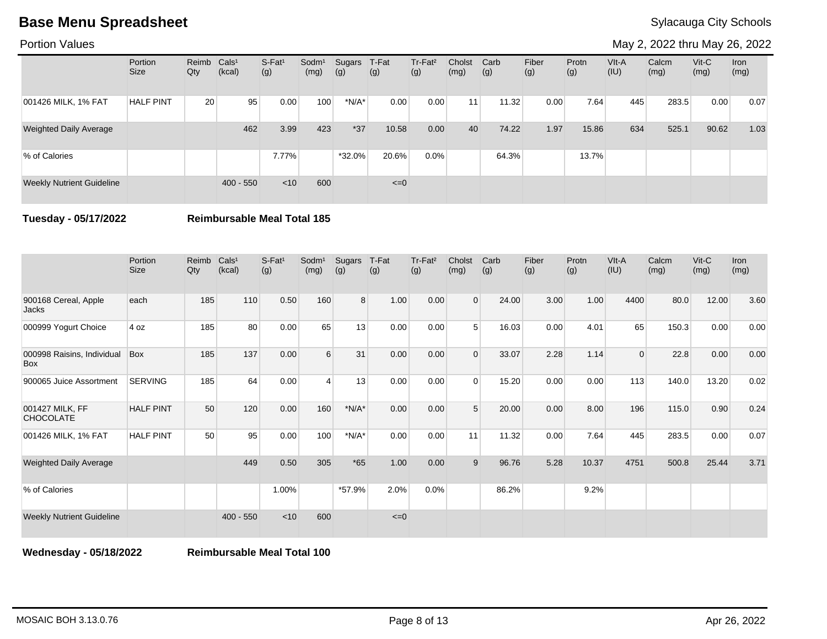Portion Values

May 2, 2022 thru May 26, 2022

|                                  | Portion<br><b>Size</b> | Reimb Cals <sup>1</sup><br>Qty | (kcal)      | $S-Fat1$<br>(g) | Sodm <sup>1</sup><br>(mg) | Sugars<br>(g) | T-Fat<br>(g) | Tr-Fat <sup>2</sup><br>(g) | Cholst<br>(mg)  | Carb<br>(g) | Fiber<br>(g) | Protn<br>(g) | $V$ lt-A<br>(IU) | Calcm<br>(mg) | $V$ it-C<br>(mg) | Iron<br>(mg) |
|----------------------------------|------------------------|--------------------------------|-------------|-----------------|---------------------------|---------------|--------------|----------------------------|-----------------|-------------|--------------|--------------|------------------|---------------|------------------|--------------|
| 001426 MILK, 1% FAT              | <b>HALF PINT</b>       | 20                             | 95          | 0.00            | 100                       | $*N/A*$       | 0.00         | 0.00                       | 11 <sub>1</sub> | 11.32       | 0.00         | 7.64         | 445              | 283.5         | 0.00             | 0.07         |
| <b>Weighted Daily Average</b>    |                        |                                | 462         | 3.99            | 423                       | $*37$         | 10.58        | 0.00                       | 40              | 74.22       | 1.97         | 15.86        | 634              | 525.1         | 90.62            | 1.03         |
| % of Calories                    |                        |                                |             | 7.77%           |                           | $*32.0\%$     | 20.6%        | 0.0%                       |                 | 64.3%       |              | 13.7%        |                  |               |                  |              |
| <b>Weekly Nutrient Guideline</b> |                        |                                | $400 - 550$ | < 10            | 600                       |               | $\leq=0$     |                            |                 |             |              |              |                  |               |                  |              |

**Tuesday - 05/17/2022 Reimbursable Meal Total 185**

|                                          | Portion<br><b>Size</b> | Reimb<br>Qty | Cals <sup>1</sup><br>(kcal) | $S-Fat1$<br>(g) | Sodm <sup>1</sup><br>(mg) | Sugars<br>(g)  | T-Fat<br>(g) | Tr-Fat <sup>2</sup><br>(g) | Cholst<br>(mg) | Carb<br>(g) | Fiber<br>(g) | Protn<br>(g) | VIt-A<br>(IU)  | Calcm<br>(mg) | $V$ it-C<br>(mg) | Iron<br>(mg) |
|------------------------------------------|------------------------|--------------|-----------------------------|-----------------|---------------------------|----------------|--------------|----------------------------|----------------|-------------|--------------|--------------|----------------|---------------|------------------|--------------|
| 900168 Cereal, Apple<br>Jacks            | each                   | 185          | 110                         | 0.50            | 160                       | 8 <sup>°</sup> | 1.00         | 0.00                       | $\overline{0}$ | 24.00       | 3.00         | 1.00         | 4400           | 80.0          | 12.00            | 3.60         |
| 000999 Yogurt Choice                     | 4 oz                   | 185          | 80                          | 0.00            | 65                        | 13             | 0.00         | 0.00                       | 5              | 16.03       | 0.00         | 4.01         | 65             | 150.3         | 0.00             | 0.00         |
| 000998 Raisins, Individual<br><b>Box</b> | Box                    | 185          | 137                         | 0.00            | 6                         | 31             | 0.00         | 0.00                       | $\Omega$       | 33.07       | 2.28         | 1.14         | $\overline{0}$ | 22.8          | 0.00             | 0.00         |
| 900065 Juice Assortment                  | <b>SERVING</b>         | 185          | 64                          | 0.00            | 4                         | 13             | 0.00         | 0.00                       | $\Omega$       | 15.20       | 0.00         | 0.00         | 113            | 140.0         | 13.20            | 0.02         |
| 001427 MILK, FF<br><b>CHOCOLATE</b>      | <b>HALF PINT</b>       | 50           | 120                         | 0.00            | 160                       | $*N/A*$        | 0.00         | 0.00                       | 5              | 20.00       | 0.00         | 8.00         | 196            | 115.0         | 0.90             | 0.24         |
| 001426 MILK, 1% FAT                      | <b>HALF PINT</b>       | 50           | 95                          | 0.00            | 100                       | $*N/A*$        | 0.00         | 0.00                       | 11             | 11.32       | 0.00         | 7.64         | 445            | 283.5         | 0.00             | 0.07         |
| <b>Weighted Daily Average</b>            |                        |              | 449                         | 0.50            | 305                       | $*65$          | 1.00         | 0.00                       | 9              | 96.76       | 5.28         | 10.37        | 4751           | 500.8         | 25.44            | 3.71         |
| % of Calories                            |                        |              |                             | 1.00%           |                           | *57.9%         | 2.0%         | 0.0%                       |                | 86.2%       |              | 9.2%         |                |               |                  |              |
| <b>Weekly Nutrient Guideline</b>         |                        |              | $400 - 550$                 | $<$ 10          | 600                       |                | $\leq=0$     |                            |                |             |              |              |                |               |                  |              |

**Wednesday - 05/18/2022 Reimbursable Meal Total 100**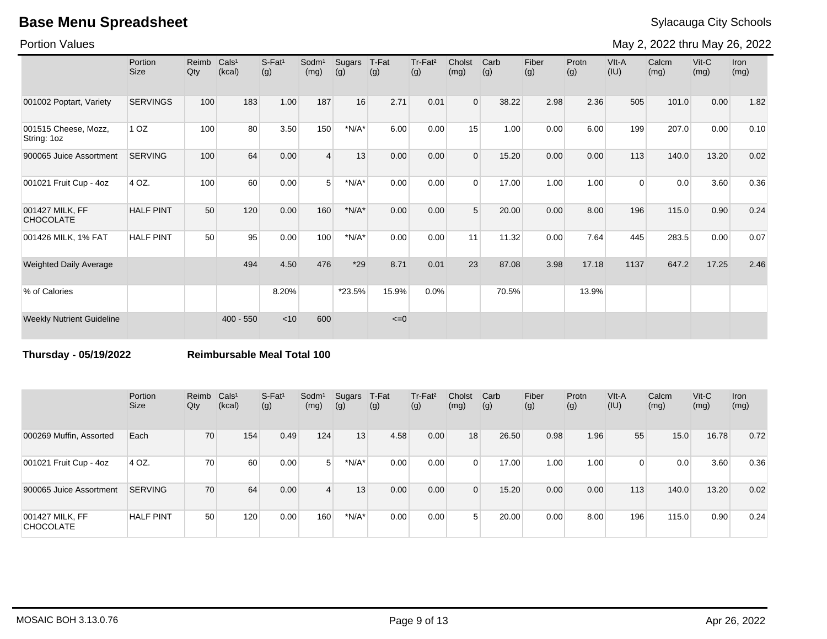Portion Values

May 2, 2022 thru May 26, 2022

|                                     | Portion<br><b>Size</b> | Reimb<br>Qty | Cals <sup>1</sup><br>(kcal) | S-Fat <sup>1</sup><br>(g) | Sodm <sup>1</sup><br>(mg) | Sugars<br>(g) | T-Fat<br>(g) | Tr-Fat <sup>2</sup><br>(g) | Cholst<br>(mg) | Carb<br>(g) | Fiber<br>(g) | Protn<br>(g) | VIt-A<br>(IU) | Calcm<br>(mg) | Vit-C<br>(mg) | Iron<br>(mg) |
|-------------------------------------|------------------------|--------------|-----------------------------|---------------------------|---------------------------|---------------|--------------|----------------------------|----------------|-------------|--------------|--------------|---------------|---------------|---------------|--------------|
| 001002 Poptart, Variety             | <b>SERVINGS</b>        | 100          | 183                         | 1.00                      | 187                       | 16            | 2.71         | 0.01                       | $\Omega$       | 38.22       | 2.98         | 2.36         | 505           | 101.0         | 0.00          | 1.82         |
| 001515 Cheese, Mozz,<br>String: 1oz | 1 <sub>OZ</sub>        | 100          | 80                          | 3.50                      | 150                       | $*N/A*$       | 6.00         | 0.00                       | 15             | 1.00        | 0.00         | 6.00         | 199           | 207.0         | 0.00          | 0.10         |
| 900065 Juice Assortment             | <b>SERVING</b>         | 100          | 64                          | 0.00                      | $\overline{4}$            | 13            | 0.00         | 0.00                       | $\Omega$       | 15.20       | 0.00         | 0.00         | 113           | 140.0         | 13.20         | 0.02         |
| 001021 Fruit Cup - 4oz              | 4 OZ.                  | 100          | 60                          | 0.00                      | 5 <sub>1</sub>            | $*N/A*$       | 0.00         | 0.00                       | $\Omega$       | 17.00       | 1.00         | 1.00         | $\Omega$      | 0.0           | 3.60          | 0.36         |
| 001427 MILK, FF<br><b>CHOCOLATE</b> | <b>HALF PINT</b>       | 50           | 120                         | 0.00                      | 160                       | $*N/A*$       | 0.00         | 0.00                       | 5              | 20.00       | 0.00         | 8.00         | 196           | 115.0         | 0.90          | 0.24         |
| 001426 MILK, 1% FAT                 | <b>HALF PINT</b>       | 50           | 95                          | 0.00                      | 100                       | $*N/A*$       | 0.00         | 0.00                       | 11             | 11.32       | 0.00         | 7.64         | 445           | 283.5         | 0.00          | 0.07         |
| <b>Weighted Daily Average</b>       |                        |              | 494                         | 4.50                      | 476                       | $*29$         | 8.71         | 0.01                       | 23             | 87.08       | 3.98         | 17.18        | 1137          | 647.2         | 17.25         | 2.46         |
| % of Calories                       |                        |              |                             | 8.20%                     |                           | *23.5%        | 15.9%        | 0.0%                       |                | 70.5%       |              | 13.9%        |               |               |               |              |
| <b>Weekly Nutrient Guideline</b>    |                        |              | $400 - 550$                 | < 10                      | 600                       |               | $\leq=0$     |                            |                |             |              |              |               |               |               |              |

**Thursday - 05/19/2022 Reimbursable Meal Total 100**

|                                     | Portion<br><b>Size</b> | Reimb Cals <sup>1</sup><br>Qty | (kcal) | $S-Fat1$<br>(g) | Sodm <sup>1</sup><br>(mg) | Sugars<br>(g) | T-Fat<br>(g) | Tr-Fat <sup>2</sup><br>(g) | Cholst<br>(mg) | Carb<br>(g) | Fiber<br>(g) | Protn<br>(g) | $V$ lt-A<br>(IU) | Calcm<br>(mg) | $V$ it-C<br>(mg) | <b>Iron</b><br>(mg) |
|-------------------------------------|------------------------|--------------------------------|--------|-----------------|---------------------------|---------------|--------------|----------------------------|----------------|-------------|--------------|--------------|------------------|---------------|------------------|---------------------|
| 000269 Muffin, Assorted             | Each                   | 70                             | 154    | 0.49            | 124                       | 13            | 4.58         | 0.00                       | 18             | 26.50       | 0.98         | 1.96         | 55               | 15.0          | 16.78            | 0.72                |
| 001021 Fruit Cup - 4oz              | 4 OZ.                  | 70                             | 60     | 0.00            | 5 <sup>1</sup>            | $*N/A*$       | 0.00         | 0.00                       | $\Omega$       | 17.00       | 1.00         | 1.00         | $\overline{0}$   | 0.0           | 3.60             | 0.36                |
| 900065 Juice Assortment             | <b>SERVING</b>         | 70                             | 64     | 0.00            | $\overline{4}$            | 13            | 0.00         | 0.00                       | $\Omega$       | 15.20       | 0.00         | 0.00         | 113              | 140.0         | 13.20            | 0.02                |
| 001427 MILK, FF<br><b>CHOCOLATE</b> | <b>HALF PINT</b>       | 50                             | 120    | 0.00            | 160                       | $*N/A*$       | 0.00         | 0.00                       |                | 20.00       | 0.00         | 8.00         | 196              | 115.0         | 0.90             | 0.24                |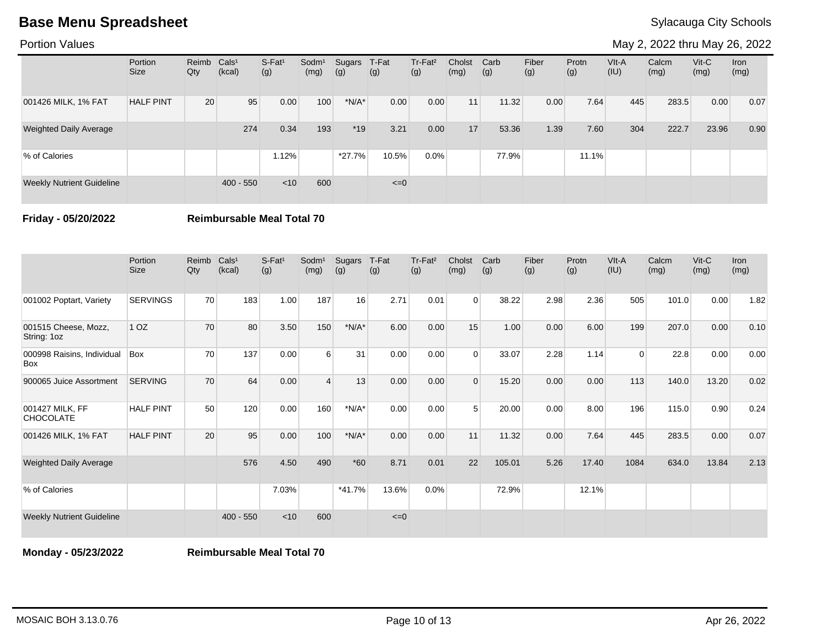Portion Values

May 2, 2022 thru May 26, 2022

|                                  | Portion<br><b>Size</b> | Reimb Cals <sup>1</sup><br>Qty | (kcal)      | S-Fat <sup>1</sup><br>(g) | Sodm <sup>1</sup><br>(mg) | Sugars<br>(g) | T-Fat<br>(g) | $Tr-Fat2$<br>(g) | Cholst<br>(mg)  | Carb<br>(g) | Fiber<br>(g) | Protn<br>(g) | $V$ lt-A<br>(IU) | Calcm<br>(mg) | $V$ it-C<br>(mg) | Iron<br>(mg) |
|----------------------------------|------------------------|--------------------------------|-------------|---------------------------|---------------------------|---------------|--------------|------------------|-----------------|-------------|--------------|--------------|------------------|---------------|------------------|--------------|
| 001426 MILK, 1% FAT              | <b>HALF PINT</b>       | 20                             | 95          | 0.00                      | 100                       | $*N/A*$       | 0.00         | 0.00             | 11 <sub>h</sub> | 11.32       | 0.00         | 7.64         | 445              | 283.5         | 0.00             | 0.07         |
| <b>Weighted Daily Average</b>    |                        |                                | 274         | 0.34                      | 193                       | $*19$         | 3.21         | 0.00             | 17              | 53.36       | 1.39         | 7.60         | 304              | 222.7         | 23.96            | 0.90         |
| % of Calories                    |                        |                                |             | 1.12%                     |                           | $*27.7\%$     | 10.5%        | $0.0\%$          |                 | 77.9%       |              | 11.1%        |                  |               |                  |              |
| <b>Weekly Nutrient Guideline</b> |                        |                                | $400 - 550$ | $<$ 10                    | 600                       |               | $\leq=0$     |                  |                 |             |              |              |                  |               |                  |              |

**Friday - 05/20/2022 Reimbursable Meal Total 70**

|                                          | Portion<br><b>Size</b> | Reimb<br>Qty | Cals <sup>1</sup><br>(kcal) | $S-Fat1$<br>(g) | Sodm <sup>1</sup><br>(mg) | Sugars<br>(g) | T-Fat<br>(g) | Tr-Fat <sup>2</sup><br>(g) | Cholst<br>(mg) | Carb<br>(g) | Fiber<br>(g) | Protn<br>(g) | VIt-A<br>(IU)  | Calcm<br>(mg) | $V$ it-C<br>(mg) | Iron<br>(mg) |
|------------------------------------------|------------------------|--------------|-----------------------------|-----------------|---------------------------|---------------|--------------|----------------------------|----------------|-------------|--------------|--------------|----------------|---------------|------------------|--------------|
| 001002 Poptart, Variety                  | <b>SERVINGS</b>        | 70           | 183                         | 1.00            | 187                       | 16            | 2.71         | 0.01                       | $\Omega$       | 38.22       | 2.98         | 2.36         | 505            | 101.0         | 0.00             | 1.82         |
| 001515 Cheese, Mozz,<br>String: 1oz      | 1 <sub>OZ</sub>        | 70           | 80                          | 3.50            | 150                       | $*N/A*$       | 6.00         | 0.00                       | 15             | 1.00        | 0.00         | 6.00         | 199            | 207.0         | 0.00             | 0.10         |
| 000998 Raisins, Individual<br><b>Box</b> | Box                    | 70           | 137                         | 0.00            | 6                         | 31            | 0.00         | 0.00                       | $\Omega$       | 33.07       | 2.28         | 1.14         | $\overline{0}$ | 22.8          | 0.00             | 0.00         |
| 900065 Juice Assortment                  | <b>SERVING</b>         | 70           | 64                          | 0.00            | $\overline{\mathbf{A}}$   | 13            | 0.00         | 0.00                       | 0              | 15.20       | 0.00         | 0.00         | 113            | 140.0         | 13.20            | 0.02         |
| 001427 MILK, FF<br><b>CHOCOLATE</b>      | <b>HALF PINT</b>       | 50           | 120                         | 0.00            | 160                       | $*N/A*$       | 0.00         | 0.00                       | 5              | 20.00       | 0.00         | 8.00         | 196            | 115.0         | 0.90             | 0.24         |
| 001426 MILK, 1% FAT                      | <b>HALF PINT</b>       | 20           | 95                          | 0.00            | 100                       | $*N/A*$       | 0.00         | 0.00                       | 11             | 11.32       | 0.00         | 7.64         | 445            | 283.5         | 0.00             | 0.07         |
| <b>Weighted Daily Average</b>            |                        |              | 576                         | 4.50            | 490                       | $*60$         | 8.71         | 0.01                       | 22             | 105.01      | 5.26         | 17.40        | 1084           | 634.0         | 13.84            | 2.13         |
| % of Calories                            |                        |              |                             | 7.03%           |                           | $*41.7%$      | 13.6%        | 0.0%                       |                | 72.9%       |              | 12.1%        |                |               |                  |              |
| <b>Weekly Nutrient Guideline</b>         |                        |              | $400 - 550$                 | < 10            | 600                       |               | $\leq=0$     |                            |                |             |              |              |                |               |                  |              |

**Monday - 05/23/2022 Reimbursable Meal Total 70**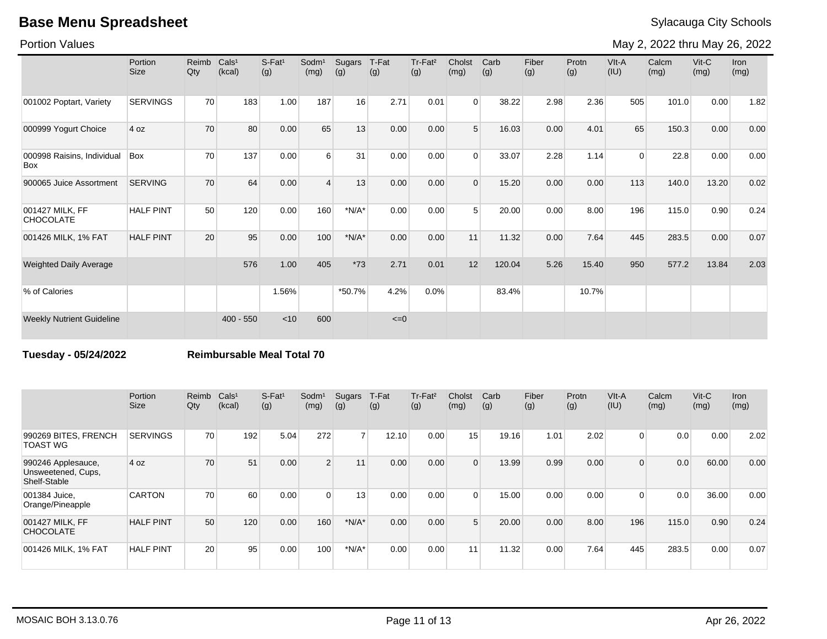Portion Values

May 2, 2022 thru May 26, 2022

|                                          | Portion<br><b>Size</b> | Reimb<br>Qty | Cals <sup>1</sup><br>(kcal) | $S-Fat1$<br>(g) | Sodm <sup>1</sup><br>(mg) | Sugars<br>(g) | T-Fat<br>(g) | Tr-Fat <sup>2</sup><br>(g) | Cholst<br>(mg) | Carb<br>(g) | Fiber<br>(g) | Protn<br>(g) | VIt-A<br>(IU) | Calcm<br>(mg) | $V$ it-C<br>(mg) | Iron<br>(mg) |
|------------------------------------------|------------------------|--------------|-----------------------------|-----------------|---------------------------|---------------|--------------|----------------------------|----------------|-------------|--------------|--------------|---------------|---------------|------------------|--------------|
| 001002 Poptart, Variety                  | <b>SERVINGS</b>        | 70           | 183                         | 1.00            | 187                       | 16            | 2.71         | 0.01                       | $\Omega$       | 38.22       | 2.98         | 2.36         | 505           | 101.0         | 0.00             | 1.82         |
| 000999 Yogurt Choice                     | 4 oz                   | 70           | 80                          | 0.00            | 65                        | 13            | 0.00         | 0.00                       | 5              | 16.03       | 0.00         | 4.01         | 65            | 150.3         | 0.00             | 0.00         |
| 000998 Raisins, Individual<br><b>Box</b> | Box                    | 70           | 137                         | 0.00            | 6                         | 31            | 0.00         | 0.00                       | $\Omega$       | 33.07       | 2.28         | 1.14         | $\Omega$      | 22.8          | 0.00             | 0.00         |
| 900065 Juice Assortment                  | <b>SERVING</b>         | 70           | 64                          | 0.00            | $\boldsymbol{\Delta}$     | 13            | 0.00         | 0.00                       | $\Omega$       | 15.20       | 0.00         | 0.00         | 113           | 140.0         | 13.20            | 0.02         |
| 001427 MILK, FF<br><b>CHOCOLATE</b>      | <b>HALF PINT</b>       | 50           | 120                         | 0.00            | 160                       | $*N/A*$       | 0.00         | 0.00                       | 5              | 20.00       | 0.00         | 8.00         | 196           | 115.0         | 0.90             | 0.24         |
| 001426 MILK, 1% FAT                      | <b>HALF PINT</b>       | 20           | 95                          | 0.00            | 100                       | $*N/A*$       | 0.00         | 0.00                       | 11             | 11.32       | 0.00         | 7.64         | 445           | 283.5         | 0.00             | 0.07         |
| <b>Weighted Daily Average</b>            |                        |              | 576                         | 1.00            | 405                       | $*73$         | 2.71         | 0.01                       | 12             | 120.04      | 5.26         | 15.40        | 950           | 577.2         | 13.84            | 2.03         |
| % of Calories                            |                        |              |                             | 1.56%           |                           | *50.7%        | 4.2%         | 0.0%                       |                | 83.4%       |              | 10.7%        |               |               |                  |              |
| <b>Weekly Nutrient Guideline</b>         |                        |              | $400 - 550$                 | < 10            | 600                       |               | $\leq=0$     |                            |                |             |              |              |               |               |                  |              |

**Tuesday - 05/24/2022 Reimbursable Meal Total 70**

|                                                          | Portion<br><b>Size</b> | Reimb<br>Qty | Cals <sup>1</sup><br>(kcal) | $S-Fat1$<br>(g) | Sodm <sup>1</sup><br>(mg) | Sugars<br>(g)  | T-Fat<br>(g) | Tr-Fat <sup>2</sup><br>(g) | Cholst<br>(mg)  | Carb<br>(g) | Fiber<br>(g) | Protn<br>(g) | VIt-A<br>(IU)  | Calcm<br>(mg) | $V$ it-C<br>(mg) | <b>Iron</b><br>(mg) |
|----------------------------------------------------------|------------------------|--------------|-----------------------------|-----------------|---------------------------|----------------|--------------|----------------------------|-----------------|-------------|--------------|--------------|----------------|---------------|------------------|---------------------|
| 990269 BITES, FRENCH<br>TOAST WG                         | <b>SERVINGS</b>        | 70           | 192                         | 5.04            | 272                       | 7 <sup>1</sup> | 12.10        | 0.00                       | 15 <sub>1</sub> | 19.16       | 1.01         | 2.02         | $\overline{0}$ | 0.0           | 0.00             | 2.02                |
| 990246 Applesauce,<br>Unsweetened, Cups,<br>Shelf-Stable | 4 oz                   | 70           | 51                          | 0.00            | 2 <sup>1</sup>            | 11             | 0.00         | 0.00                       | $\Omega$        | 13.99       | 0.99         | 0.00         | $\Omega$       | 0.0           | 60.00            | 0.00                |
| 001384 Juice,<br>Orange/Pineapple                        | <b>CARTON</b>          | 70           | 60                          | 0.00            | $\Omega$                  | 13             | 0.00         | 0.00                       | $\Omega$        | 15.00       | 0.00         | 0.00         | $\Omega$       | 0.0           | 36.00            | 0.00                |
| 001427 MILK, FF<br><b>CHOCOLATE</b>                      | <b>HALF PINT</b>       | 50           | 120                         | 0.00            | 160                       | $*N/A*$        | 0.00         | 0.00                       | 5               | 20.00       | 0.00         | 8.00         | 196            | 115.0         | 0.90             | 0.24                |
| 001426 MILK, 1% FAT                                      | <b>HALF PINT</b>       | 20           | 95                          | 0.00            | 100                       | $*N/A*$        | 0.00         | 0.00                       | 11              | 11.32       | 0.00         | 7.64         | 445            | 283.5         | 0.00             | 0.07                |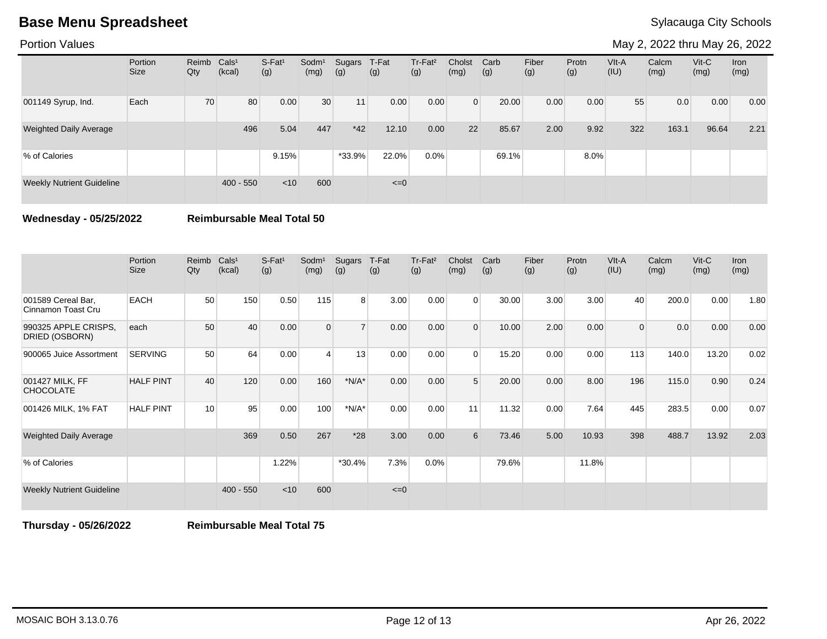Portion Values

May 2, 2022 thru May 26, 2022

|                                  | Portion<br><b>Size</b> | Reimb<br>Qty | Cals <sup>1</sup><br>(kcal) | $S-Fat1$<br>(g) | Sodm <sup>1</sup><br>(mg) | Sugars<br>(g) | T-Fat<br>(g) | Tr-Fat <sup>2</sup><br>(g) | Cholst<br>(mg) | Carb<br>(g) | Fiber<br>(g) | Protn<br>(g) | $V$ lt-A<br>(IU) | Calcm<br>(mg) | $V$ it-C<br>(mg) | Iron<br>(mg) |
|----------------------------------|------------------------|--------------|-----------------------------|-----------------|---------------------------|---------------|--------------|----------------------------|----------------|-------------|--------------|--------------|------------------|---------------|------------------|--------------|
| 001149 Syrup, Ind.               | Each                   | 70           | 80                          | 0.00            | 30                        | 11            | 0.00         | 0.00                       | $\Omega$       | 20.00       | 0.00         | 0.00         | 55               | 0.0           | 0.00             | 0.00         |
| <b>Weighted Daily Average</b>    |                        |              | 496                         | 5.04            | 447                       | $*42$         | 12.10        | 0.00                       | 22             | 85.67       | 2.00         | 9.92         | 322              | 163.1         | 96.64            | 2.21         |
| % of Calories                    |                        |              |                             | 9.15%           |                           | $*33.9%$      | 22.0%        | 0.0%                       |                | 69.1%       |              | 8.0%         |                  |               |                  |              |
| <b>Weekly Nutrient Guideline</b> |                        |              | $400 - 550$                 | $<$ 10          | 600                       |               | $\leq=0$     |                            |                |             |              |              |                  |               |                  |              |

**Wednesday - 05/25/2022 Reimbursable Meal Total 50**

|                                          | Portion<br><b>Size</b> | Reimb<br>Qty | Cals <sup>1</sup><br>(kcal) | $S-Fat1$<br>(g) | Sodm <sup>1</sup><br>(mg) | Sugars<br>(g)  | T-Fat<br>(g) | Tr-Fat <sup>2</sup><br>(g) | Cholst<br>(mg) | Carb<br>(g) | Fiber<br>(g) | Protn<br>(g) | VIt-A<br>(IU)  | Calcm<br>(mg) | Vit-C<br>(mg) | <b>Iron</b><br>(mg) |
|------------------------------------------|------------------------|--------------|-----------------------------|-----------------|---------------------------|----------------|--------------|----------------------------|----------------|-------------|--------------|--------------|----------------|---------------|---------------|---------------------|
| 001589 Cereal Bar,<br>Cinnamon Toast Cru | <b>EACH</b>            | 50           | 150                         | 0.50            | 115                       | 8 <sup>1</sup> | 3.00         | 0.00                       | $\Omega$       | 30.00       | 3.00         | 3.00         | 40             | 200.0         | 0.00          | 1.80                |
| 990325 APPLE CRISPS.<br>DRIED (OSBORN)   | each                   | 50           | 40                          | 0.00            | $\Omega$                  | $\overline{7}$ | 0.00         | 0.00                       | $\Omega$       | 10.00       | 2.00         | 0.00         | $\overline{0}$ | 0.0           | 0.00          | 0.00                |
| 900065 Juice Assortment                  | <b>SERVING</b>         | 50           | 64                          | 0.00            | 4                         | 13             | 0.00         | 0.00                       | $\Omega$       | 15.20       | 0.00         | 0.00         | 113            | 140.0         | 13.20         | 0.02                |
| 001427 MILK, FF<br><b>CHOCOLATE</b>      | <b>HALF PINT</b>       | 40           | 120                         | 0.00            | 160                       | $*N/A*$        | 0.00         | 0.00                       | 5              | 20.00       | 0.00         | 8.00         | 196            | 115.0         | 0.90          | 0.24                |
| 001426 MILK, 1% FAT                      | <b>HALF PINT</b>       | 10           | 95                          | 0.00            | 100                       | $*N/A*$        | 0.00         | 0.00                       | 11             | 11.32       | 0.00         | 7.64         | 445            | 283.5         | 0.00          | 0.07                |
| <b>Weighted Daily Average</b>            |                        |              | 369                         | 0.50            | 267                       | $*28$          | 3.00         | 0.00                       | 6              | 73.46       | 5.00         | 10.93        | 398            | 488.7         | 13.92         | 2.03                |
| % of Calories                            |                        |              |                             | 1.22%           |                           | $*30.4%$       | 7.3%         | 0.0%                       |                | 79.6%       |              | 11.8%        |                |               |               |                     |
| <b>Weekly Nutrient Guideline</b>         |                        |              | $400 - 550$                 | < 10            | 600                       |                | $\leq=0$     |                            |                |             |              |              |                |               |               |                     |

**Thursday - 05/26/2022 Reimbursable Meal Total 75**